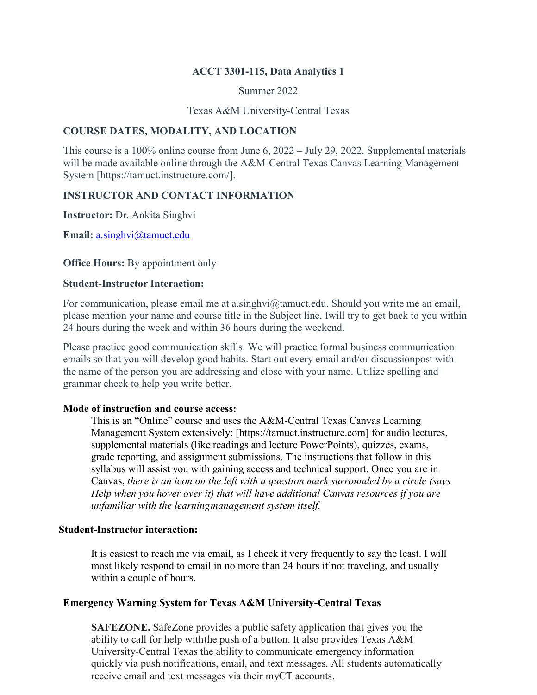#### **ACCT 3301-115, Data Analytics 1**

Summer 2022

Texas A&M University-Central Texas

### **COURSE DATES, MODALITY, AND LOCATION**

This course is a 100% online course from June 6, 2022 – July 29, 2022. Supplemental materials will be made available online through the A&M-Central Texas Canvas Learning Management System [https://tamuct.instructure.com/].

# **INSTRUCTOR AND CONTACT INFORMATION**

**Instructor:** Dr. Ankita Singhvi

**Email:** [a.singhvi@tamuct.edu](mailto:a.singhvi@tamuct.edu)

**Office Hours:** By appointment only

#### **Student-Instructor Interaction:**

For communication, please email me at a.singhvi@tamuct.edu. Should you write me an email, please mention your name and course title in the Subject line. Iwill try to get back to you within 24 hours during the week and within 36 hours during the weekend.

Please practice good communication skills. We will practice formal business communication emails so that you will develop good habits. Start out every email and/or discussionpost with the name of the person you are addressing and close with your name. Utilize spelling and grammar check to help you write better.

#### **Mode of instruction and course access:**

This is an "Online" course and uses the A&M-Central Texas Canvas Learning Management System extensively: [https://tamuct.instructure.com] for audio lectures, supplemental materials (like readings and lecture PowerPoints), quizzes, exams, grade reporting, and assignment submissions. The instructions that follow in this syllabus will assist you with gaining access and technical support. Once you are in Canvas, *there is an icon on the left with a question mark surrounded by a circle (says Help when you hover over it) that will have additional Canvas resources if you are unfamiliar with the learningmanagement system itself.*

#### **Student-Instructor interaction:**

It is easiest to reach me via email, as I check it very frequently to say the least. I will most likely respond to email in no more than 24 hours if not traveling, and usually within a couple of hours.

#### **Emergency Warning System for Texas A&M University-Central Texas**

**SAFEZONE.** SafeZone provides a public safety application that gives you the ability to call for help withthe push of a button. It also provides Texas A&M University-Central Texas the ability to communicate emergency information quickly via push notifications, email, and text messages. All students automatically receive email and text messages via their myCT accounts.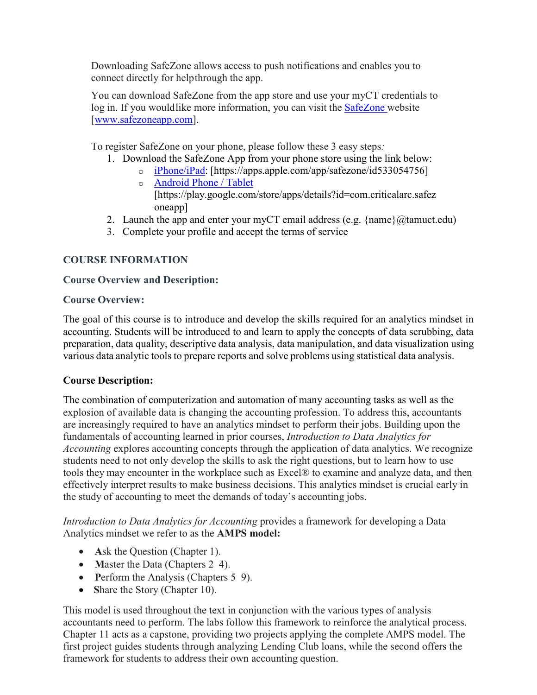Downloading SafeZone allows access to push notifications and enables you to connect directly for helpthrough the app.

You can download SafeZone from the app store and use your myCT credentials to log in. If you wouldlike more information, you can visit the [SafeZone](http://www.safezoneapp.com/) website [\[www.safezoneapp.com\]](http://www.safezoneapp.com/).

To register SafeZone on your phone, please follow these 3 easy steps*:*

- 1. Download the SafeZone App from your phone store using the link below:
	- o [iPhone/iPad:](https://apps.apple.com/app/safezone/id533054756) [https://apps.apple.com/app/safezone/id533054756] o [Android Phone / Tablet](https://play.google.com/store/apps/details?id=com.criticalarc.safezoneapp)
		- [https://play.google.com/store/apps/details?id=com.criticalarc.safez oneapp]
- 2. Launch the app and enter your myCT email address (e.g.  $\{name\}(\mathcal{Q})$  tamuct.edu)
- 3. Complete your profile and accept the terms of service

# **COURSE INFORMATION**

### **Course Overview and Description:**

### **Course Overview:**

The goal of this course is to introduce and develop the skills required for an analytics mindset in accounting. Students will be introduced to and learn to apply the concepts of data scrubbing, data preparation, data quality, descriptive data analysis, data manipulation, and data visualization using various data analytic tools to prepare reports and solve problems using statistical data analysis.

# **Course Description:**

The combination of computerization and automation of many accounting tasks as well as the explosion of available data is changing the accounting profession. To address this, accountants are increasingly required to have an analytics mindset to perform their jobs. Building upon the fundamentals of accounting learned in prior courses, *Introduction to Data Analytics for Accounting* explores accounting concepts through the application of data analytics. We recognize students need to not only develop the skills to ask the right questions, but to learn how to use tools they may encounter in the workplace such as Excel® to examine and analyze data, and then effectively interpret results to make business decisions. This analytics mindset is crucial early in the study of accounting to meet the demands of today's accounting jobs.

*Introduction to Data Analytics for Accounting* provides a framework for developing a Data Analytics mindset we refer to as the **AMPS model:**

- **Ask the Question (Chapter 1).**
- **Master the Data (Chapters 2–4).**
- **Perform the Analysis (Chapters 5–9).**
- Share the Story (Chapter 10).

This model is used throughout the text in conjunction with the various types of analysis accountants need to perform. The labs follow this framework to reinforce the analytical process. Chapter 11 acts as a capstone, providing two projects applying the complete AMPS model. The first project guides students through analyzing Lending Club loans, while the second offers the framework for students to address their own accounting question.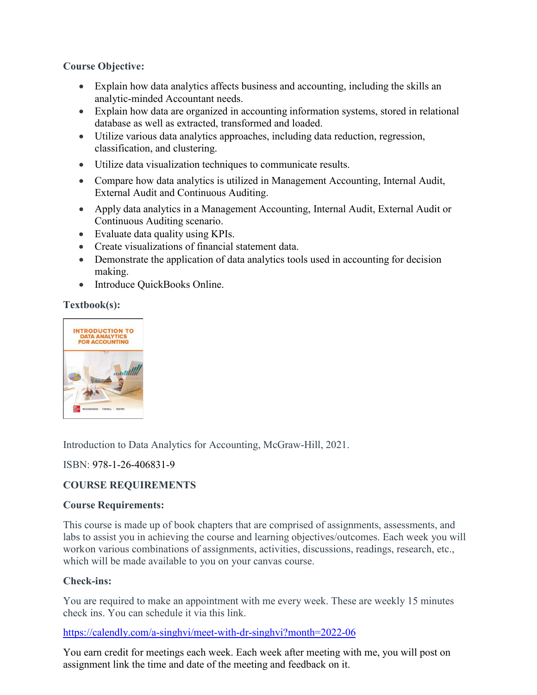# **Course Objective:**

- Explain how data analytics affects business and accounting, including the skills an analytic-minded Accountant needs.
- Explain how data are organized in accounting information systems, stored in relational database as well as extracted, transformed and loaded.
- Utilize various data analytics approaches, including data reduction, regression, classification, and clustering.
- Utilize data visualization techniques to communicate results.
- Compare how data analytics is utilized in Management Accounting, Internal Audit, External Audit and Continuous Auditing.
- Apply data analytics in a Management Accounting, Internal Audit, External Audit or Continuous Auditing scenario.
- Evaluate data quality using KPIs.
- Create visualizations of financial statement data.
- Demonstrate the application of data analytics tools used in accounting for decision making.
- Introduce OuickBooks Online.

**Textbook(s):**



Introduction to Data Analytics for Accounting, McGraw-Hill, 2021.

# ISBN: 978-1-26-406831-9

# **COURSE REQUIREMENTS**

# **Course Requirements:**

This course is made up of book chapters that are comprised of assignments, assessments, and labs to assist you in achieving the course and learning objectives/outcomes. Each week you will work on various combinations of assignments, activities, discussions, readings, research, etc., which will be made available to you on your canvas course.

# **Check-ins:**

You are required to make an appointment with me every week. These are weekly 15 minutes check ins. You can schedule it via this link.

# <https://calendly.com/a-singhvi/meet-with-dr-singhvi?month=2022-06>

You earn credit for meetings each week. Each week after meeting with me, you will post on assignment link the time and date of the meeting and feedback on it.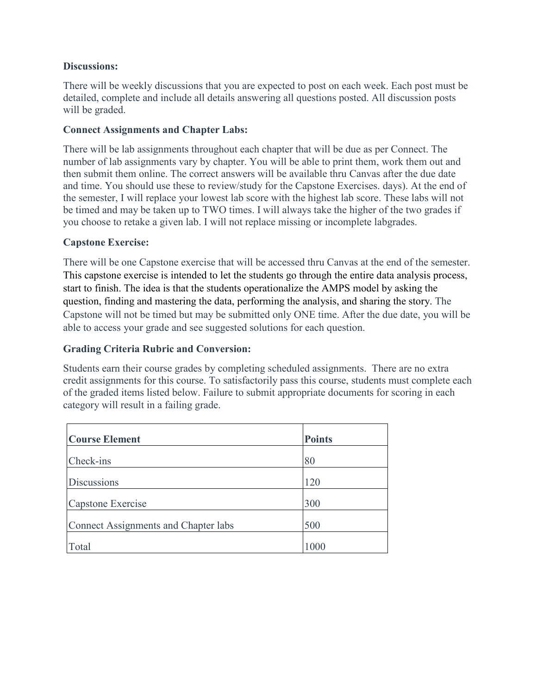### **Discussions:**

There will be weekly discussions that you are expected to post on each week. Each post must be detailed, complete and include all details answering all questions posted. All discussion posts will be graded.

### **Connect Assignments and Chapter Labs:**

There will be lab assignments throughout each chapter that will be due as per Connect. The number of lab assignments vary by chapter. You will be able to print them, work them out and then submit them online. The correct answers will be available thru Canvas after the due date and time. You should use these to review/study for the Capstone Exercises. days). At the end of the semester, I will replace your lowest lab score with the highest lab score. These labs will not be timed and may be taken up to TWO times. I will always take the higher of the two grades if you choose to retake a given lab. I will not replace missing or incomplete labgrades.

### **Capstone Exercise:**

There will be one Capstone exercise that will be accessed thru Canvas at the end of the semester. This capstone exercise is intended to let the students go through the entire data analysis process, start to finish. The idea is that the students operationalize the AMPS model by asking the question, finding and mastering the data, performing the analysis, and sharing the story. The Capstone will not be timed but may be submitted only ONE time. After the due date, you will be able to access your grade and see suggested solutions for each question.

### **Grading Criteria Rubric and Conversion:**

Students earn their course grades by completing scheduled assignments. There are no extra credit assignments for this course. To satisfactorily pass this course, students must complete each of the graded items listed below. Failure to submit appropriate documents for scoring in each category will result in a failing grade.

| <b>Course Element</b>                | <b>Points</b> |
|--------------------------------------|---------------|
| Check-ins                            | 80            |
| <b>Discussions</b>                   | 120           |
| Capstone Exercise                    | 300           |
| Connect Assignments and Chapter labs | 500           |
| Total                                | 1000          |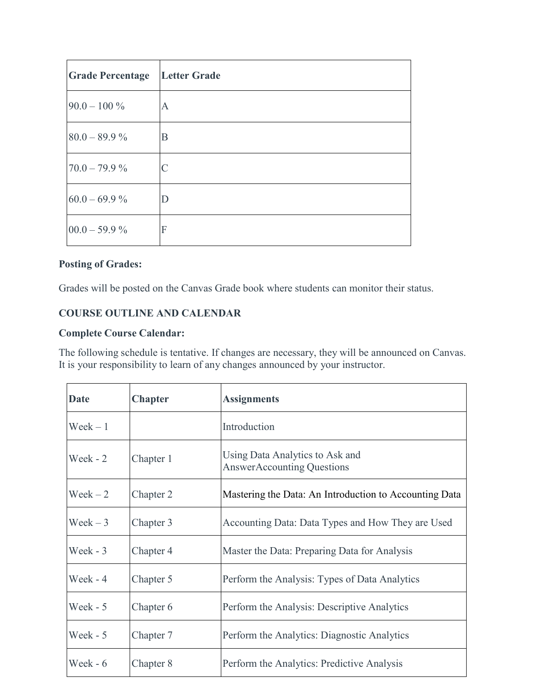| <b>Grade Percentage</b> | <b>Letter Grade</b> |
|-------------------------|---------------------|
| $90.0 - 100\%$          | A                   |
| $80.0 - 89.9 \%$        | B                   |
| $70.0 - 79.9 \%$        | C                   |
| $60.0 - 69.9 \%$        | D                   |
| $00.0 - 59.9 \%$        | F                   |

# **Posting of Grades:**

Grades will be posted on the Canvas Grade book where students can monitor their status.

# **COURSE OUTLINE AND CALENDAR**

### **Complete Course Calendar:**

The following schedule is tentative. If changes are necessary, they will be announced on Canvas. It is your responsibility to learn of any changes announced by your instructor.

| <b>Date</b>       | <b>Chapter</b> | <b>Assignments</b>                                                   |
|-------------------|----------------|----------------------------------------------------------------------|
| $\text{Week} - 1$ |                | Introduction                                                         |
| Week - 2          | Chapter 1      | Using Data Analytics to Ask and<br><b>AnswerAccounting Questions</b> |
| $\text{Weak}-2$   | Chapter 2      | Mastering the Data: An Introduction to Accounting Data               |
| $\text{Week} - 3$ | Chapter 3      | Accounting Data: Data Types and How They are Used                    |
| Week $-3$         | Chapter 4      | Master the Data: Preparing Data for Analysis                         |
| Week - 4          | Chapter 5      | Perform the Analysis: Types of Data Analytics                        |
| Week $-5$         | Chapter 6      | Perform the Analysis: Descriptive Analytics                          |
| Week - 5          | Chapter 7      | Perform the Analytics: Diagnostic Analytics                          |
| Week - $6$        | Chapter 8      | Perform the Analytics: Predictive Analysis                           |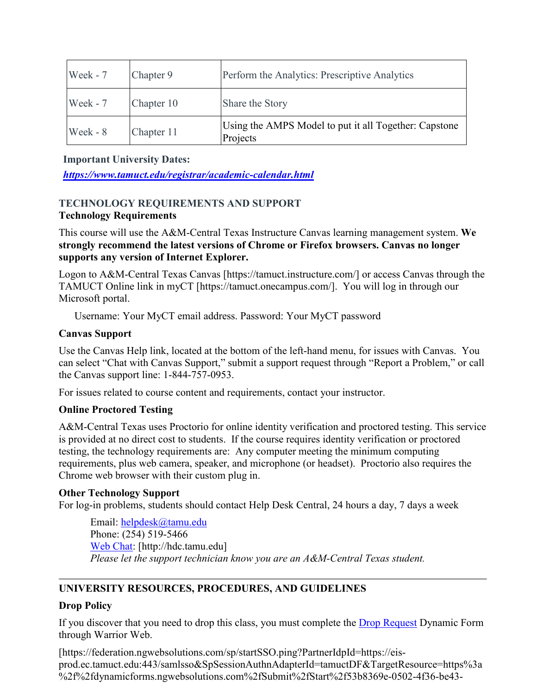| Week - 7 | Chapter 9  | Perform the Analytics: Prescriptive Analytics                     |
|----------|------------|-------------------------------------------------------------------|
| Week - 7 | Chapter 10 | Share the Story                                                   |
| Week - 8 | Chapter 11 | Using the AMPS Model to put it all Together: Capstone<br>Projects |

**Important University Dates:**

*<https://www.tamuct.edu/registrar/academic-calendar.html>*

# **TECHNOLOGY REQUIREMENTS AND SUPPORT Technology Requirements**

This course will use the A&M-Central Texas Instructure Canvas learning management system. **We strongly recommend the latest versions of Chrome or Firefox browsers. Canvas no longer supports any version of Internet Explorer.**

Logon to A&M-Central Texas Canvas [https://tamuct.instructure.com/] or access Canvas through the TAMUCT Online link in myCT [https://tamuct.onecampus.com/]. You will log in through our Microsoft portal.

Username: Your MyCT email address. Password: Your MyCT password

# **Canvas Support**

Use the Canvas Help link, located at the bottom of the left-hand menu, for issues with Canvas. You can select "Chat with Canvas Support," submit a support request through "Report a Problem," or call the Canvas support line: 1-844-757-0953.

For issues related to course content and requirements, contact your instructor.

# **Online Proctored Testing**

A&M-Central Texas uses Proctorio for online identity verification and proctored testing. This service is provided at no direct cost to students. If the course requires identity verification or proctored testing, the technology requirements are: Any computer meeting the minimum computing requirements, plus web camera, speaker, and microphone (or headset). Proctorio also requires the Chrome web browser with their custom plug in.

# **Other Technology Support**

For log-in problems, students should contact Help Desk Central, 24 hours a day, 7 days a week

Email: [helpdesk@tamu.edu](mailto:helpdesk@tamu.edu) Phone: (254) 519-5466 [Web Chat:](http://hdc.tamu.edu/) [http://hdc.tamu.edu] *Please let the support technician know you are an A&M-Central Texas student.*

# **UNIVERSITY RESOURCES, PROCEDURES, AND GUIDELINES**

# **Drop Policy**

If you discover that you need to drop this class, you must complete the [Drop Request](https://federation.ngwebsolutions.com/sp/startSSO.ping?PartnerIdpId=https://eis-prod.ec.tamuct.edu:443/samlsso&SpSessionAuthnAdapterId=tamuctDF&TargetResource=https%3a%2f%2fdynamicforms.ngwebsolutions.com%2fSubmit%2fStart%2f53b8369e-0502-4f36-be43-f02a4202f612) Dynamic Form through Warrior Web.

[https://federation.ngwebsolutions.com/sp/startSSO.ping?PartnerIdpId=https://eisprod.ec.tamuct.edu:443/samlsso&SpSessionAuthnAdapterId=tamuctDF&TargetResource=https%3a %2f%2fdynamicforms.ngwebsolutions.com%2fSubmit%2fStart%2f53b8369e-0502-4f36-be43-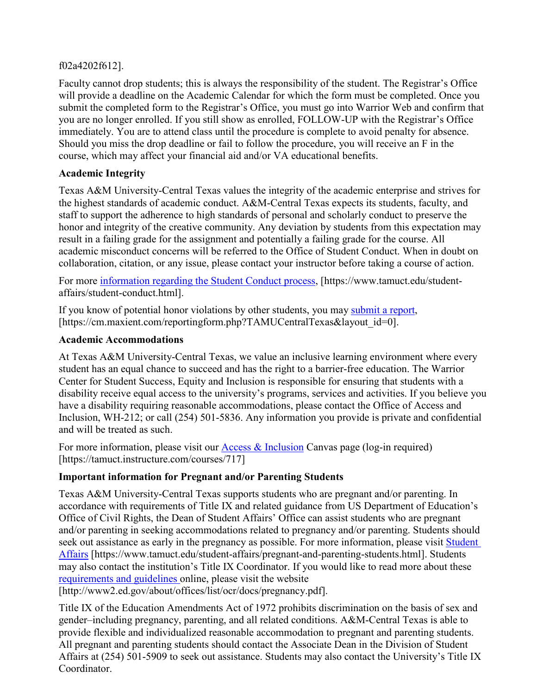# f02a4202f612].

Faculty cannot drop students; this is always the responsibility of the student. The Registrar's Office will provide a deadline on the Academic Calendar for which the form must be completed. Once you submit the completed form to the Registrar's Office, you must go into Warrior Web and confirm that you are no longer enrolled. If you still show as enrolled, FOLLOW-UP with the Registrar's Office immediately. You are to attend class until the procedure is complete to avoid penalty for absence. Should you miss the drop deadline or fail to follow the procedure, you will receive an F in the course, which may affect your financial aid and/or VA educational benefits.

# **Academic Integrity**

Texas A&M University-Central Texas values the integrity of the academic enterprise and strives for the highest standards of academic conduct. A&M-Central Texas expects its students, faculty, and staff to support the adherence to high standards of personal and scholarly conduct to preserve the honor and integrity of the creative community. Any deviation by students from this expectation may result in a failing grade for the assignment and potentially a failing grade for the course. All academic misconduct concerns will be referred to the Office of Student Conduct. When in doubt on collaboration, citation, or any issue, please contact your instructor before taking a course of action.

For more [information](https://nam04.safelinks.protection.outlook.com/?url=https%3A%2F%2Fwww.tamuct.edu%2Fstudent-affairs%2Fstudent-conduct.html&data=04%7C01%7Clisa.bunkowski%40tamuct.edu%7Ccfb6e486f24745f53e1a08d910055cb2%7C9eed4e3000f744849ff193ad8005acec%7C0%7C0%7C637558437485252160%7CUnknown%7CTWFpbGZsb3d8eyJWIjoiMC4wLjAwMDAiLCJQIjoiV2luMzIiLCJBTiI6Ik1haWwiLCJXVCI6Mn0%3D%7C1000&sdata=yjftDEVHvLX%2FhM%2FcFU0B99krV1RgEWR%2BJ%2BhvtoR6TYk%3D&reserved=0) regarding the Student Conduct process, [https://www.tamuct.edu/studentaffairs/student-conduct.html].

If you know of potential honor violations by other students, you may [submit](https://nam04.safelinks.protection.outlook.com/?url=https%3A%2F%2Fcm.maxient.com%2Freportingform.php%3FTAMUCentralTexas%26layout_id%3D0&data=04%7C01%7Clisa.bunkowski%40tamuct.edu%7Ccfb6e486f24745f53e1a08d910055cb2%7C9eed4e3000f744849ff193ad8005acec%7C0%7C0%7C637558437485262157%7CUnknown%7CTWFpbGZsb3d8eyJWIjoiMC4wLjAwMDAiLCJQIjoiV2luMzIiLCJBTiI6Ik1haWwiLCJXVCI6Mn0%3D%7C1000&sdata=CXGkOa6uPDPX1IMZ87z3aZDq2n91xfHKu4MMS43Ejjk%3D&reserved=0) a report, [https://cm.maxient.com/reportingform.php?TAMUCentralTexas&layout\_id=0].

# **Academic Accommodations**

At Texas A&M University-Central Texas, we value an inclusive learning environment where every student has an equal chance to succeed and has the right to a barrier-free education. The Warrior Center for Student Success, Equity and Inclusion is responsible for ensuring that students with a disability receive equal access to the university's programs, services and activities. If you believe you have a disability requiring reasonable accommodations, please contact the Office of Access and Inclusion, WH-212; or call (254) 501-5836. Any information you provide is private and confidential and will be treated as such.

For more information, please visit our [Access & Inclusion](https://tamuct.instructure.com/courses/717) Canvas page (log-in required) [https://tamuct.instructure.com/courses/717]

# **Important information for Pregnant and/or Parenting Students**

Texas A&M University-Central Texas supports students who are pregnant and/or parenting. In accordance with requirements of Title IX and related guidance from US Department of Education's Office of Civil Rights, the Dean of Student Affairs' Office can assist students who are pregnant and/or parenting in seeking accommodations related to pregnancy and/or parenting. Students should seek out assistance as early in the pregnancy as possible. For more information, please visit Student [Affairs](https://www.tamuct.edu/student-affairs/pregnant-and-parenting-students.html) [https://www.tamuct.edu/student-affairs/pregnant-and-parenting-students.html]. Students may also contact the institution's Title IX Coordinator. If you would like to read more about these [requirements and guidelines](http://www2.ed.gov/about/offices/list/ocr/docs/pregnancy.pdf) online, please visit the website

[http://www2.ed.gov/about/offices/list/ocr/docs/pregnancy.pdf].

Title IX of the Education Amendments Act of 1972 prohibits discrimination on the basis of sex and gender–including pregnancy, parenting, and all related conditions. A&M-Central Texas is able to provide flexible and individualized reasonable accommodation to pregnant and parenting students. All pregnant and parenting students should contact the Associate Dean in the Division of Student Affairs at (254) 501-5909 to seek out assistance. Students may also contact the University's Title IX Coordinator.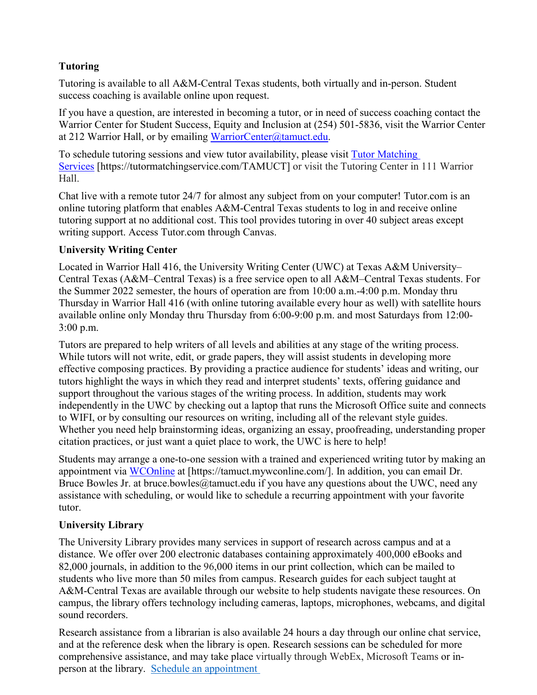# **Tutoring**

Tutoring is available to all A&M-Central Texas students, both virtually and in-person. Student success coaching is available online upon request.

If you have a question, are interested in becoming a tutor, or in need of success coaching contact the Warrior Center for Student Success, Equity and Inclusion at (254) 501-5836, visit the Warrior Center at 212 Warrior Hall, or by emailing [WarriorCenter@tamuct.edu.](mailto:WarriorCenter@tamuct.edu)

To schedule tutoring sessions and view tutor availability, please visit Tutor [Matching](https://tutormatchingservice.com/TAMUCT) [Services](https://tutormatchingservice.com/TAMUCT) [https://tutormatchingservice.com/TAMUCT] or visit the Tutoring Center in 111 Warrior Hall.

Chat live with a remote tutor 24/7 for almost any subject from on your computer! Tutor.com is an online tutoring platform that enables A&M-Central Texas students to log in and receive online tutoring support at no additional cost. This tool provides tutoring in over 40 subject areas except writing support. Access Tutor.com through Canvas.

# **University Writing Center**

Located in Warrior Hall 416, the University Writing Center (UWC) at Texas A&M University– Central Texas (A&M–Central Texas) is a free service open to all A&M–Central Texas students. For the Summer 2022 semester, the hours of operation are from 10:00 a.m.-4:00 p.m. Monday thru Thursday in Warrior Hall 416 (with online tutoring available every hour as well) with satellite hours available online only Monday thru Thursday from 6:00-9:00 p.m. and most Saturdays from 12:00- 3:00 p.m.

Tutors are prepared to help writers of all levels and abilities at any stage of the writing process. While tutors will not write, edit, or grade papers, they will assist students in developing more effective composing practices. By providing a practice audience for students' ideas and writing, our tutors highlight the ways in which they read and interpret students' texts, offering guidance and support throughout the various stages of the writing process. In addition, students may work independently in the UWC by checking out a laptop that runs the Microsoft Office suite and connects to WIFI, or by consulting our resources on writing, including all of the relevant style guides. Whether you need help brainstorming ideas, organizing an essay, proofreading, understanding proper citation practices, or just want a quiet place to work, the UWC is here to help!

Students may arrange a one-to-one session with a trained and experienced writing tutor by making an appointment via [WCOnline](https://tamuct.mywconline.com/) at [https://tamuct.mywconline.com/]. In addition, you can email Dr. Bruce Bowles Jr. at bruce.bowles@tamuct.edu if you have any questions about the UWC, need any assistance with scheduling, or would like to schedule a recurring appointment with your favorite tutor.

# **University Library**

The University Library provides many services in support of research across campus and at a distance. We offer over 200 electronic databases containing approximately 400,000 eBooks and 82,000 journals, in addition to the 96,000 items in our print collection, which can be mailed to students who live more than 50 miles from campus. Research guides for each subject taught at A&M-Central Texas are available through our website to help students navigate these resources. On campus, the library offers technology including cameras, laptops, microphones, webcams, and digital sound recorders.

Research assistance from a librarian is also available 24 hours a day through our online chat service, and at the reference desk when the library is open. Research sessions can be scheduled for more comprehensive assistance, and may take place virtually through WebEx, Microsoft Teams or inperson at the library. Schedule an [appointment](https://nam04.safelinks.protection.outlook.com/?url=https%3A%2F%2Ftamuct.libcal.com%2Fappointments%2F%3Fg%3D6956&data=04%7C01%7Clisa.bunkowski%40tamuct.edu%7Cde2c07d9f5804f09518008d9ab7ba6ff%7C9eed4e3000f744849ff193ad8005acec%7C0%7C0%7C637729369835011558%7CUnknown%7CTWFpbGZsb3d8eyJWIjoiMC4wLjAwMDAiLCJQIjoiV2luMzIiLCJBTiI6Ik1haWwiLCJXVCI6Mn0%3D%7C3000&sdata=KhtjgRSAw9aq%2FoBsB6wyu8b7PSuGN5EGPypzr3Ty2No%3D&reserved=0)